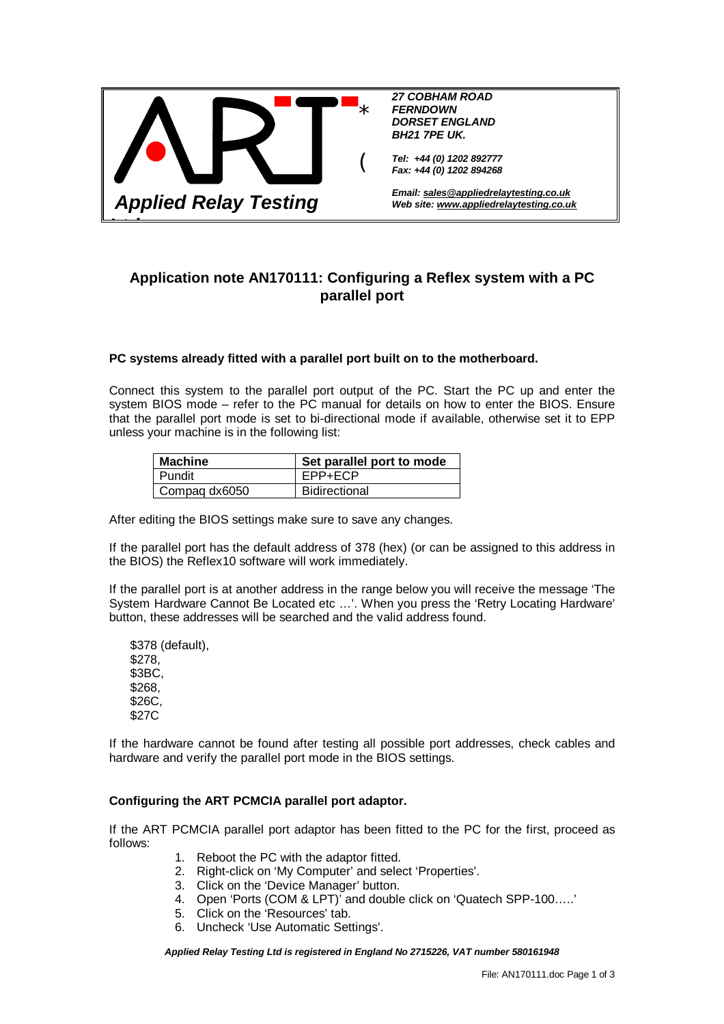

# **Application note AN170111: Configuring a Reflex system with a PC parallel port**

## **PC systems already fitted with a parallel port built on to the motherboard.**

Connect this system to the parallel port output of the PC. Start the PC up and enter the system BIOS mode – refer to the PC manual for details on how to enter the BIOS. Ensure that the parallel port mode is set to bi-directional mode if available, otherwise set it to EPP unless your machine is in the following list:

| <b>Machine</b> | Set parallel port to mode |
|----------------|---------------------------|
| l Pundit       | EPP+ECP                   |
| Compaq dx6050  | <b>Bidirectional</b>      |

After editing the BIOS settings make sure to save any changes.

If the parallel port has the default address of 378 (hex) (or can be assigned to this address in the BIOS) the Reflex10 software will work immediately.

If the parallel port is at another address in the range below you will receive the message 'The System Hardware Cannot Be Located etc …'. When you press the 'Retry Locating Hardware' button, these addresses will be searched and the valid address found.

 \$378 (default), \$278, \$3BC, \$268, \$26C, \$27C

If the hardware cannot be found after testing all possible port addresses, check cables and hardware and verify the parallel port mode in the BIOS settings.

#### **Configuring the ART PCMCIA parallel port adaptor.**

If the ART PCMCIA parallel port adaptor has been fitted to the PC for the first, proceed as follows:

- 1. Reboot the PC with the adaptor fitted.
- 2. Right-click on 'My Computer' and select 'Properties'.
- 3. Click on the 'Device Manager' button.
- 4. Open 'Ports (COM & LPT)' and double click on 'Quatech SPP-100…..'
- 5. Click on the 'Resources' tab.
- 6. Uncheck 'Use Automatic Settings'.

*Applied Relay Testing Ltd is registered in England No 2715226, VAT number 580161948*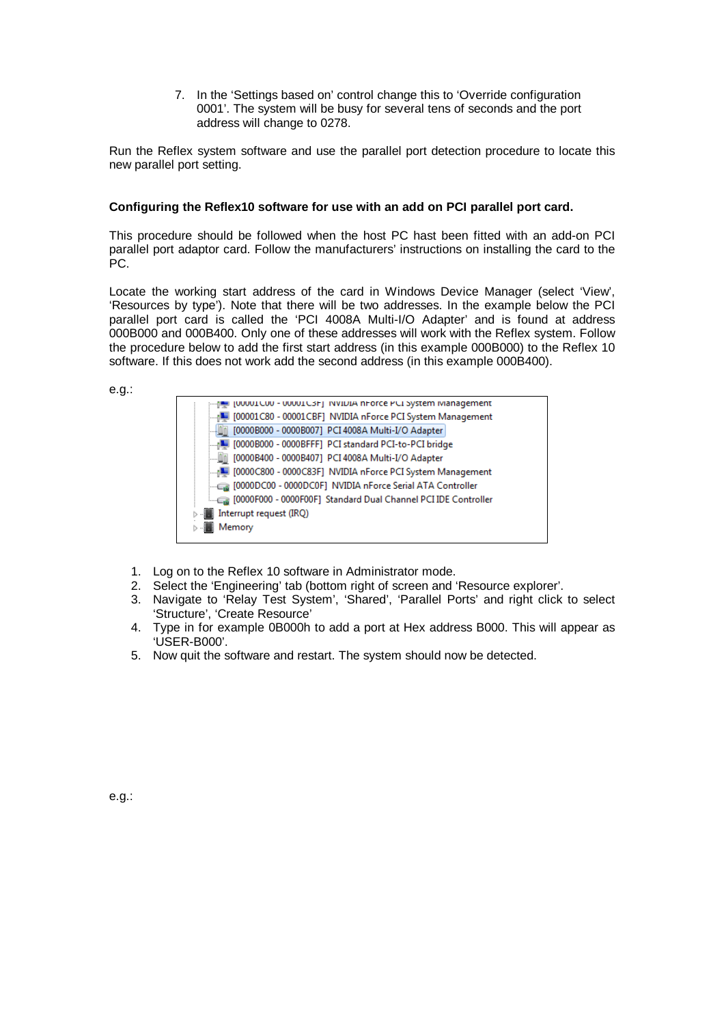7. In the 'Settings based on' control change this to 'Override configuration 0001'. The system will be busy for several tens of seconds and the port address will change to 0278.

Run the Reflex system software and use the parallel port detection procedure to locate this new parallel port setting.

## **Configuring the Reflex10 software for use with an add on PCI parallel port card.**

This procedure should be followed when the host PC hast been fitted with an add-on PCI parallel port adaptor card. Follow the manufacturers' instructions on installing the card to the PC.

Locate the working start address of the card in Windows Device Manager (select 'View', 'Resources by type'). Note that there will be two addresses. In the example below the PCI parallel port card is called the 'PCI 4008A Multi-I/O Adapter' and is found at address 000B000 and 000B400. Only one of these addresses will work with the Reflex system. Follow the procedure below to add the first start address (in this example 000B000) to the Reflex 10 software. If this does not work add the second address (in this example 000B400).

e.g.:

| [UUUU1CUU - UUUU1C3F] INVIDIA hForce PCI System Ivianagement   |
|----------------------------------------------------------------|
| 1 [00001C80 - 00001CBF] NVIDIA nForce PCI System Management    |
| [0000B000 - 0000B007] PCI 4008A Multi-I/O Adapter              |
| 1 [0000B000 - 0000BFFF] PCI standard PCI-to-PCI bridge         |
| [0000B400 - 0000B407]  PCI 4008A Multi-I/O Adapter             |
| MIL [0000C800 - 0000C83F] NVIDIA nForce PCI System Management  |
| [0000DC00 - 0000DC0F] NVIDIA nForce Serial ATA Controller      |
| [0000F000 - 0000F00F] Standard Dual Channel PCI IDE Controller |
| Interrupt request (IRQ)                                        |
| Memory                                                         |
|                                                                |

- 1. Log on to the Reflex 10 software in Administrator mode.
- 2. Select the 'Engineering' tab (bottom right of screen and 'Resource explorer'.
- 3. Navigate to 'Relay Test System', 'Shared', 'Parallel Ports' and right click to select 'Structure', 'Create Resource'
- 4. Type in for example 0B000h to add a port at Hex address B000. This will appear as 'USER-B000'.
- 5. Now quit the software and restart. The system should now be detected.